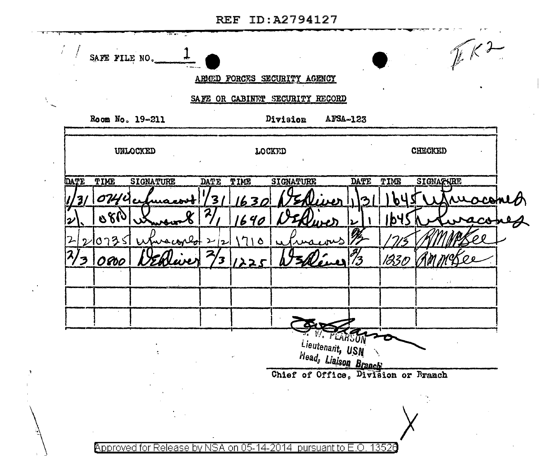

Approved for Release by NSA on 05-14-2014 pursuant to E.O. 13526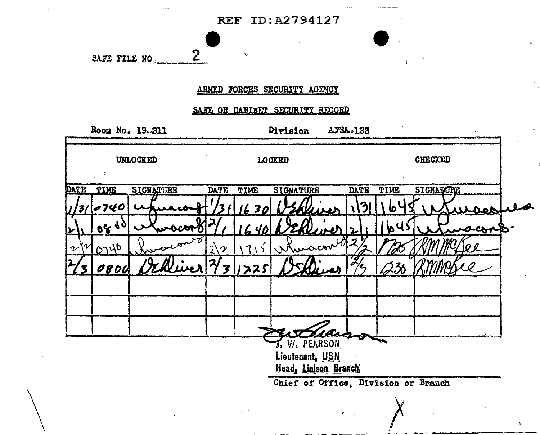$\mathbf{2}$ SAFE FILE NO.

### ARMED FORCES SECURITY AGENCY

#### SAFE OR CABINET SECURITY RECORD

Room No. 19-211

Division AFSA-123

UNLOCKED CHECKED LOCKED **SIGNATURE DATE** TIME **DATE** TIME **SIGNATURE DATE** TIME SIGNATORE ႒ 0740 lь' '3/ امی  $06.90$  $c_{\mathbf{b} \mathbf{r}^\mathbf{t}}$ 0746 7311225 الأمدنة 236  $0800$  $\mathbf{3}$ J. W. PEARSON Lieutenant, USN Head, Liaison Branch Chief of Office, Division or Branch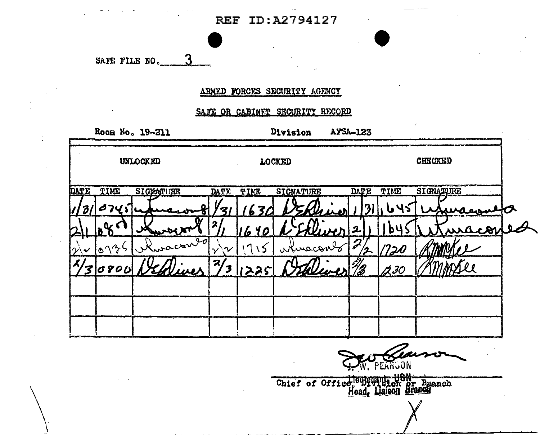SAFE FILE NO.

### ARMED FORCES SECURITY AGENCY

#### SAFE OR CABINET SECURITY RECORD

Room No. 19-211

Division **AFSA-123** 

| UNLOCKED |       |           |             | <b>LOCKED</b> |                  |  | <b>CHECKED</b> |       |  |                                                              |  |
|----------|-------|-----------|-------------|---------------|------------------|--|----------------|-------|--|--------------------------------------------------------------|--|
| DATE     | TIME  | SIGMATURE | <b>DATE</b> | TIME          | <b>SIGNATURE</b> |  | DATE           | TIME  |  | <b>SIGNATURE</b>                                             |  |
|          | 0 7 Y |           |             |               |                  |  |                |       |  |                                                              |  |
|          |       |           |             | In            |                  |  |                |       |  | wacov                                                        |  |
|          |       | inaconto  |             |               | whreconto        |  |                | וה    |  |                                                              |  |
|          | 30800 |           |             |               |                  |  | U              | JS 30 |  |                                                              |  |
|          |       |           |             |               |                  |  |                |       |  |                                                              |  |
|          |       |           |             |               |                  |  |                |       |  |                                                              |  |
|          |       |           |             |               |                  |  |                |       |  |                                                              |  |
|          |       |           |             |               |                  |  |                |       |  | ينتقا الشرابين والمتقدمات والمشمار ومحتملات ويسترقان ويحددون |  |

 $M650N$ 

Lieufguarit, USN<br>Head, Liaison Branch Chief of Office engineers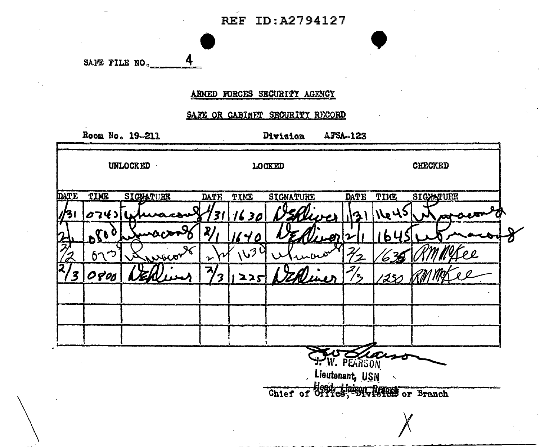$\ddot{ }$ SAFE FILE NO.

#### ARMED FORCES SECURITY AGENCY

#### SAFE OR CABINET SECURITY RECORD

Room No. 19-211

Division **AFSA-123** 

**CHECKED UNLOCKED LOCKED DATE** TIME **SIGMATURE DATE** TIME SIGNATURE **DATE** TIME SIGXATURE  $1645$  $3111630$ 074316 Y۵  $\sqrt{3}$  $22$  $\mathcal{L}$ ზ∩  $\overline{\mathbf{3}}$ 0800  $22s$ '23' an W. PEARSON Lieutenant, USN Chief of Office diagnost or Branch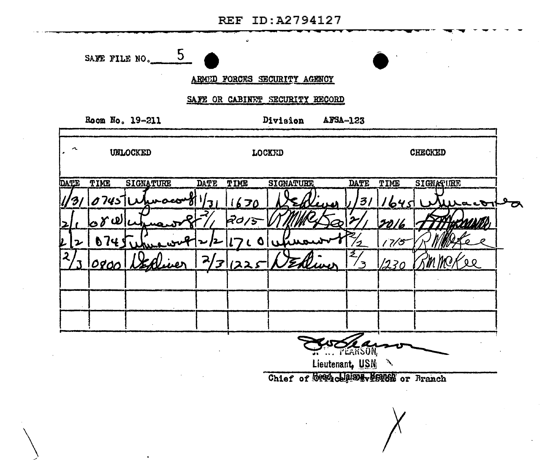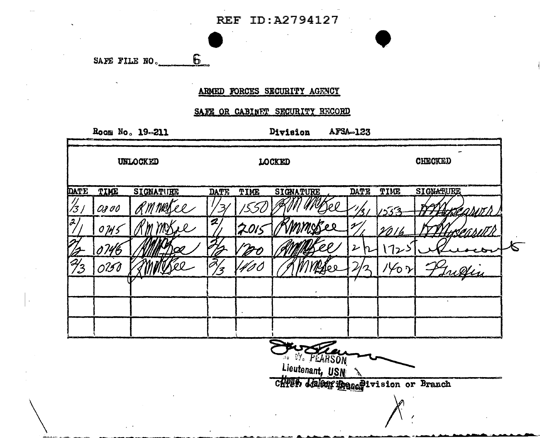|  |  | SAFE FILE NO. |  |
|--|--|---------------|--|
|--|--|---------------|--|

# ARMED FORCES SECURITY AGENCY

### SAFE OR CABINET SECURITY RECORD

Room No. 19-211

 $\cdot$ 

Division **AFSA-123** 

| UNLOCKED                           |      |                  | <b>LOCKED</b> |       |                                       |             | CHECKED           |              |  |  |
|------------------------------------|------|------------------|---------------|-------|---------------------------------------|-------------|-------------------|--------------|--|--|
| DATE                               | TIME | <b>SIGNATURE</b> | <b>DATE</b>   | TIME  | <b>SIGNATURE</b>                      | <b>DATE</b> | TIME              | SIGNARURE    |  |  |
| /3  <br>$\boldsymbol{\mathcal{Z}}$ | 0800 |                  |               |       |                                       |             | 33ھ/              | <u>WIX Y</u> |  |  |
|                                    | 0745 |                  |               | IZ015 |                                       | s           | 20 I l <u>a</u>   |              |  |  |
|                                    |      |                  |               |       |                                       | ι           |                   |              |  |  |
| $\mathcal{H}_3$                    | 0150 |                  |               |       |                                       |             | $1\sqrt{0}\gamma$ | Fridin       |  |  |
|                                    |      |                  |               |       |                                       |             |                   |              |  |  |
|                                    |      |                  |               |       |                                       |             |                   |              |  |  |
|                                    |      |                  |               |       |                                       |             |                   |              |  |  |
|                                    |      |                  |               |       | W. PEARSON<br>Lieutenant, USN         |             |                   |              |  |  |
|                                    |      |                  |               |       | CHPET, Jaloog Beach 1vision or Branch |             |                   |              |  |  |
|                                    |      |                  |               |       |                                       |             |                   |              |  |  |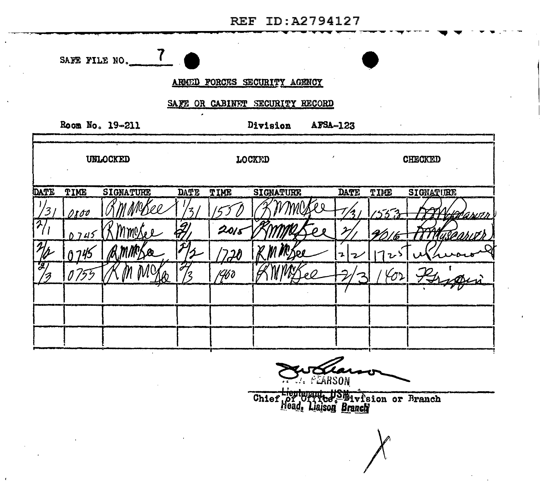|                           |                                 | SAFE FILE NO.   |      |          |                   |  |      |       |                  |           |
|---------------------------|---------------------------------|-----------------|------|----------|-------------------|--|------|-------|------------------|-----------|
|                           | ARMED FORCES SECURITY AGENCY    |                 |      |          |                   |  |      |       |                  |           |
|                           | SAFE OR CABINET SECURITY RECORD |                 |      |          |                   |  |      |       |                  |           |
|                           |                                 | Room No. 19-211 |      |          | Division AFSA-123 |  |      |       |                  |           |
| UNLOCKED<br><b>TOCKED</b> |                                 |                 |      |          |                   |  |      |       | CHECKED          |           |
| DATE                      | TIME                            | SIGNATURE       | DATE | TIME     | <b>SIGNATURE</b>  |  | DATE | TIME  | <b>SIGNATURE</b> |           |
| 3                         | 0800                            |                 |      |          |                   |  |      | 155.3 |                  |           |
| グ                         | 0745                            |                 |      | 20i e    |                   |  |      | 6     |                  | USPOHIT K |
|                           |                                 |                 |      | <b>H</b> |                   |  |      |       |                  |           |
| $\mathcal{F}$             |                                 |                 |      | 1460     |                   |  |      |       |                  |           |
|                           |                                 |                 |      |          |                   |  |      |       |                  |           |
|                           |                                 |                 |      |          |                   |  |      |       |                  |           |
|                           |                                 |                 |      |          |                   |  |      |       |                  |           |
|                           |                                 |                 |      |          |                   |  |      |       |                  |           |

 $\mathbf{r}$ 

ATENDA taros

Chief of Ultico Shivision or Branch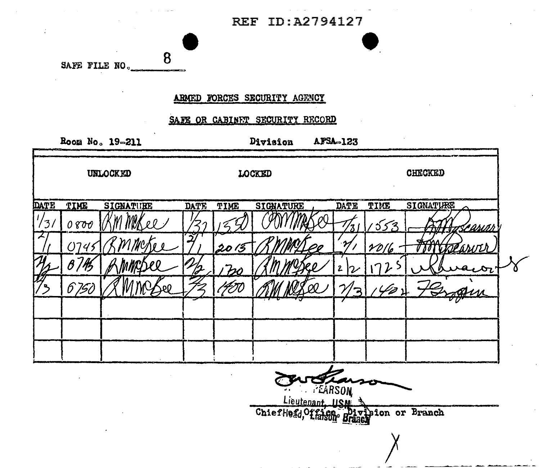|  | SAFE FILE NO. | <sup>8</sup> |
|--|---------------|--------------|

### ARMED FORCES SECURITY AGENCY

#### SAFE OR CABINET SECURITY RECORD

Room No. 19-211

Division **AFSA-123** 

UNLOCKED LOCKED CHECKED DATE TIME DATE **SIGNATIES SIGNATURE DATE** TIME **SIGNATURE** TIME  $\frac{1}{3}$  $0800$  $553$ <u> Seasin</u> 2  $1016$ D (3 አለቢካ  $72$  $\mathbf{z}$  $\boldsymbol{\kappa}_{\text{L}}$ 6750 43 EARSON Lieutenant **M211** ChiefHefd, Office Bivipion or Branch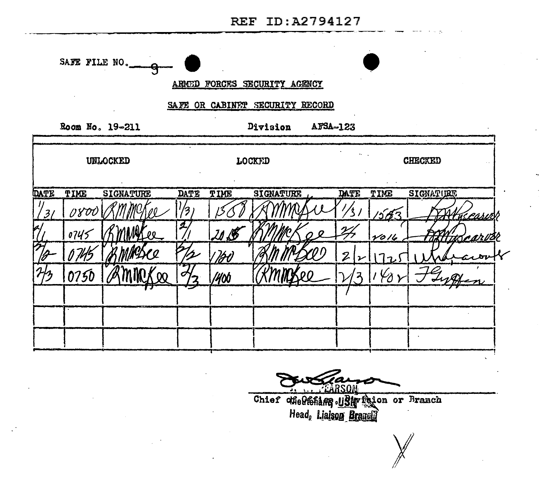

Chief cheletiang. USty faton or Branch Head, Liaison Branch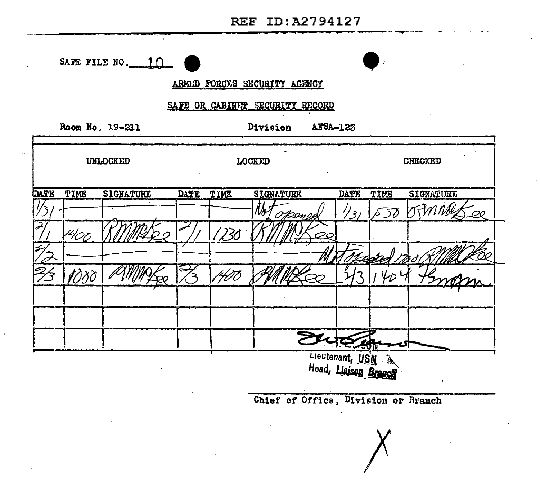|      |                                         | SAFE FILE NO. $10$ |             |      |                              |             |      |                  |  |  |
|------|-----------------------------------------|--------------------|-------------|------|------------------------------|-------------|------|------------------|--|--|
|      |                                         |                    |             |      | ARMED FORCES SECURITY AGENCY |             |      |                  |  |  |
|      | SAFE OR CABINET SECURITY RECORD         |                    |             |      |                              |             |      |                  |  |  |
|      |                                         | Room No. 19-211    |             |      | Division AFSA-123            |             |      |                  |  |  |
|      | UNLOCKED<br>CHECKED<br><b>TOCKED</b>    |                    |             |      |                              |             |      |                  |  |  |
| DATE | TIME                                    | <b>SIGNATURE</b>   | <b>DATE</b> | TIME | <b>SIGNATURE</b>             | <b>DATE</b> | TIME | <b>SIGNATURE</b> |  |  |
|      |                                         |                    |             |      | ₩<br>stener                  | '/ 31       | 550  | <b>TMN</b>       |  |  |
|      | 40,                                     |                    |             |      |                              |             |      |                  |  |  |
|      |                                         |                    |             |      |                              |             |      |                  |  |  |
|      | 1000                                    |                    |             |      |                              |             |      |                  |  |  |
|      |                                         |                    |             |      |                              |             |      |                  |  |  |
|      |                                         |                    |             |      |                              |             |      |                  |  |  |
|      |                                         |                    |             |      |                              | ᡨᢦ᠊ᠳ        |      |                  |  |  |
|      | Lieutenant, USN<br>Head, Liaison Branch |                    |             |      |                              |             |      |                  |  |  |